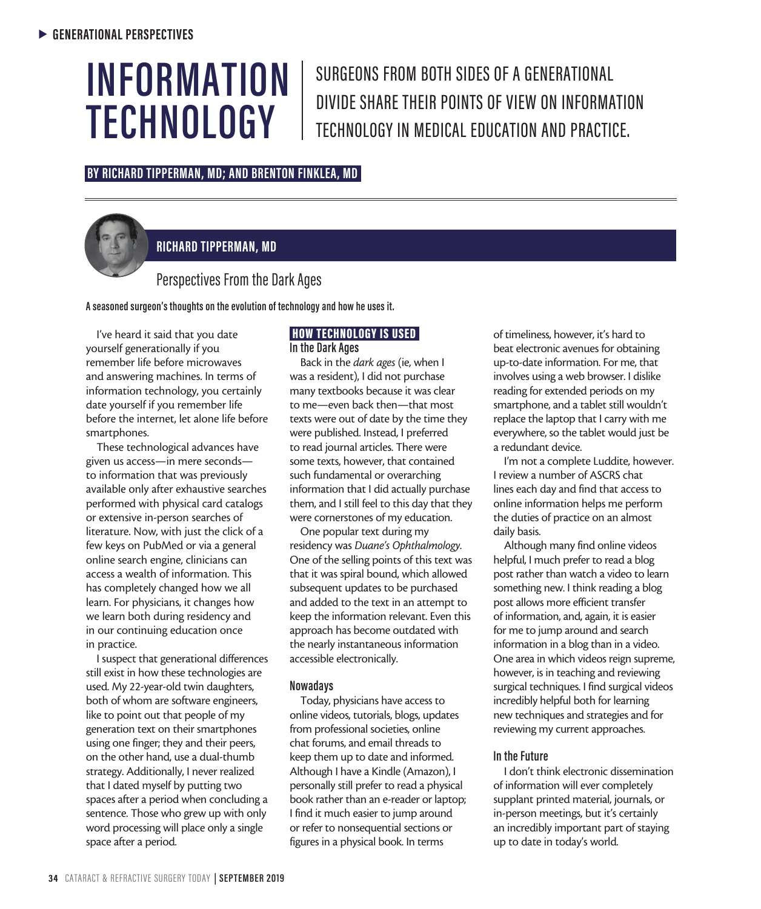# **INFORMATION TECHNOLOGY**

SURGEONS FROM BOTH SIDES OF A GENERATIONAL DIVIDE SHARE THEIR POINTS OF VIEW ON INFORMATION TECHNOLOGY IN MEDICAL EDUCATION AND PRACTICE.

## **BY RICHARD TIPPERMAN, MD; AND BRENTON FINKLEA, MD**



## **RICHARD TIPPERMAN, MD**

## Perspectives From the Dark Ages

**A seasoned surgeon's thoughts on the evolution of technology and how he uses it.**

I've heard it said that you date yourself generationally if you remember life before microwaves and answering machines. In terms of information technology, you certainly date yourself if you remember life before the internet, let alone life before smartphones.

These technological advances have given us access—in mere seconds to information that was previously available only after exhaustive searches performed with physical card catalogs or extensive in-person searches of literature. Now, with just the click of a few keys on PubMed or via a general online search engine, clinicians can access a wealth of information. This has completely changed how we all learn. For physicians, it changes how we learn both during residency and in our continuing education once in practice.

I suspect that generational differences still exist in how these technologies are used. My 22-year-old twin daughters, both of whom are software engineers, like to point out that people of my generation text on their smartphones using one finger; they and their peers, on the other hand, use a dual-thumb strategy. Additionally, I never realized that I dated myself by putting two spaces after a period when concluding a sentence. Those who grew up with only word processing will place only a single space after a period.

## HOW TECHNOLOGY IS USED **In the Dark Ages**

Back in the *dark ages* (ie, when I was a resident), I did not purchase many textbooks because it was clear to me—even back then—that most texts were out of date by the time they were published. Instead, I preferred to read journal articles. There were some texts, however, that contained such fundamental or overarching information that I did actually purchase them, and I still feel to this day that they were cornerstones of my education.

One popular text during my residency was *Duane's Ophthalmology*. One of the selling points of this text was that it was spiral bound, which allowed subsequent updates to be purchased and added to the text in an attempt to keep the information relevant. Even this approach has become outdated with the nearly instantaneous information accessible electronically.

## **Nowadays**

Today, physicians have access to online videos, tutorials, blogs, updates from professional societies, online chat forums, and email threads to keep them up to date and informed. Although I have a Kindle (Amazon), I personally still prefer to read a physical book rather than an e-reader or laptop; I find it much easier to jump around or refer to nonsequential sections or figures in a physical book. In terms

of timeliness, however, it's hard to beat electronic avenues for obtaining up-to-date information. For me, that involves using a web browser. I dislike reading for extended periods on my smartphone, and a tablet still wouldn't replace the laptop that I carry with me everywhere, so the tablet would just be a redundant device.

I'm not a complete Luddite, however. I review a number of ASCRS chat lines each day and find that access to online information helps me perform the duties of practice on an almost daily basis.

Although many find online videos helpful, I much prefer to read a blog post rather than watch a video to learn something new. I think reading a blog post allows more efficient transfer of information, and, again, it is easier for me to jump around and search information in a blog than in a video. One area in which videos reign supreme, however, is in teaching and reviewing surgical techniques. I find surgical videos incredibly helpful both for learning new techniques and strategies and for reviewing my current approaches.

## **In the Future**

I don't think electronic dissemination of information will ever completely supplant printed material, journals, or in-person meetings, but it's certainly an incredibly important part of staying up to date in today's world.